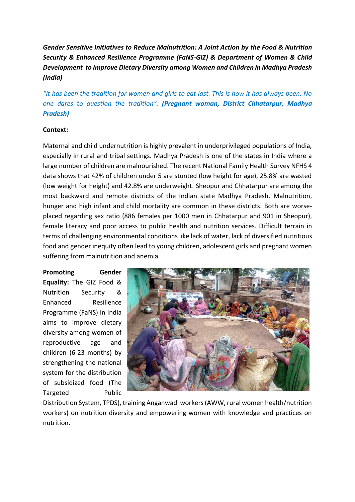*Gender Sensitive Initiatives to Reduce Malnutrition: A Joint Action by the Food & Nutrition Security & Enhanced Resilience Programme (FaNS-GIZ) & Department of Women & Child Development to Improve Dietary Diversity among Women and Children in Madhya Pradesh (India)*

*"It has been the tradition for women and girls to eat last. This is how it has always been. No one dares to question the tradition". (Pregnant woman, District Chhatarpur, Madhya Pradesh)*

## **Context:**

Maternal and child undernutrition is highly prevalent in underprivileged populations of India, especially in rural and tribal settings. Madhya Pradesh is one of the states in India where a large number of children are malnourished. The recent National Family Health Survey NFHS 4 data shows that 42% of children under 5 are stunted (low height for age), 25.8% are wasted (low weight for height) and 42.8% are underweight. Sheopur and Chhatarpur are among the most backward and remote districts of the Indian state Madhya Pradesh. Malnutrition, hunger and high infant and child mortality are common in these districts. Both are worseplaced regarding sex ratio (886 females per 1000 men in Chhatarpur and 901 in Sheopur), female literacy and poor access to public health and nutrition services. Difficult terrain in terms of challenging environmental conditions like lack of water, lack of diversified nutritious food and gender inequity often lead to young children, adolescent girls and pregnant women suffering from malnutrition and anemia.

**Promoting Gender Equality:** The GIZ Food & Nutrition Security & Enhanced Resilience Programme (FaNS) in India aims to improve dietary diversity among women of reproductive age and children (6-23 months) by strengthening the national system for the distribution of subsidized food (The Targeted Public



Distribution System, TPDS), training Anganwadi workers (AWW, rural women health/nutrition workers) on nutrition diversity and empowering women with knowledge and practices on nutrition.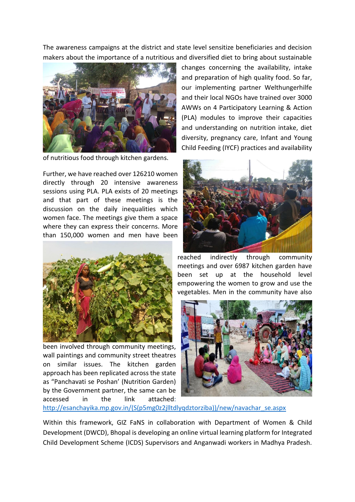The awareness campaigns at the district and state level sensitize beneficiaries and decision makers about the importance of a nutritious and diversified diet to bring about sustainable



of nutritious food through kitchen gardens.

Further, we have reached over 126210 women directly through 20 intensive awareness sessions using PLA. PLA exists of 20 meetings and that part of these meetings is the discussion on the daily inequalities which women face. The meetings give them a space where they can express their concerns. More than 150,000 women and men have been



been involved through community meetings, wall paintings and community street theatres on similar issues. The kitchen garden approach has been replicated across the state as "Panchavati se Poshan' (Nutrition Garden) by the Government partner, the same can be accessed in the link attached:

changes concerning the availability, intake and preparation of high quality food. So far, our implementing partner Welthungerhilfe and their local NGOs have trained over 3000 AWWs on 4 Participatory Learning & Action (PLA) modules to improve their capacities and understanding on nutrition intake, diet diversity, pregnancy care, Infant and Young Child Feeding (IYCF) practices and availability



reached indirectly through community meetings and over 6987 kitchen garden have been set up at the household level empowering the women to grow and use the vegetables. Men in the community have also



[http://esanchayika.mp.gov.in/\(S\(p5mg0z2jlltdlyqdztorziba\)\)/new/navachar\\_se.aspx](http://esanchayika.mp.gov.in/(S(p5mg0z2jlltdlyqdztorziba))/new/navachar_se.aspx)

Within this framework, GIZ FaNS in collaboration with Department of Women & Child Development (DWCD), Bhopal is developing an online virtual learning platform for Integrated Child Development Scheme (ICDS) Supervisors and Anganwadi workers in Madhya Pradesh.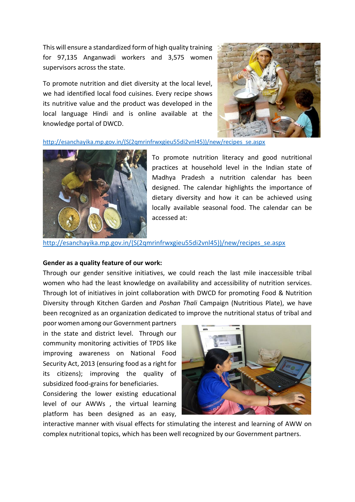This will ensure a standardized form of high quality training for 97,135 Anganwadi workers and 3,575 women supervisors across the state.

To promote nutrition and diet diversity at the local level, we had identified local food cuisines. Every recipe shows its nutritive value and the product was developed in the local language Hindi and is online available at the knowledge portal of DWCD.



[http://esanchayika.mp.gov.in/\(S\(2qmrinfrwxgieu55di2vnl45\)\)/new/recipes\\_se.aspx](http://esanchayika.mp.gov.in/(S(2qmrinfrwxgieu55di2vnl45))/new/recipes_se.aspx)



To promote nutrition literacy and good nutritional practices at household level in the Indian state of Madhya Pradesh a nutrition calendar has been designed. The calendar highlights the importance of dietary diversity and how it can be achieved using locally available seasonal food. The calendar can be accessed at:

[http://esanchayika.mp.gov.in/\(S\(2qmrinfrwxgieu55di2vnl45\)\)/new/recipes\\_se.aspx](http://esanchayika.mp.gov.in/(S(2qmrinfrwxgieu55di2vnl45))/new/recipes_se.aspx)

## **Gender as a quality feature of our work:**

Through our gender sensitive initiatives, we could reach the last mile inaccessible tribal women who had the least knowledge on availability and accessibility of nutrition services. Through lot of initiatives in joint collaboration with DWCD for promoting Food & Nutrition Diversity through Kitchen Garden and *Poshan Thali* Campaign (Nutritious Plate), we have been recognized as an organization dedicated to improve the nutritional status of tribal and

poor women among our Government partners in the state and district level. Through our community monitoring activities of TPDS like improving awareness on National Food Security Act, 2013 (ensuring food as a right for its citizens); improving the quality of subsidized food-grains for beneficiaries.

Considering the lower existing educational level of our AWWs , the virtual learning platform has been designed as an easy,



interactive manner with visual effects for stimulating the interest and learning of AWW on complex nutritional topics, which has been well recognized by our Government partners.